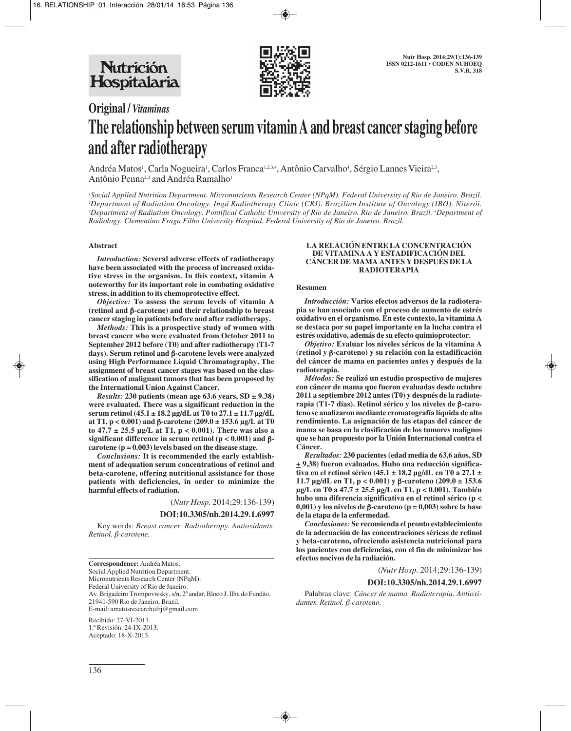

# **Original /** *Vitaminas* **The relationship between serum vitamin A and breast cancer staging before and after radiotherapy**

Andréa Matos<sup>1</sup>, Carla Nogueira<sup>1</sup>, Carlos Franca<sup>1,2,3,4</sup>, Antônio Carvalho<sup>4</sup>, Sérgio Lannes Vieira<sup>2,3</sup>, Antônio Penna<sup>2,3</sup> and Andréa Ramalho<sup>1</sup>

 *Social Applied Nutrition Department. Micronutrients Research Center (NPqM). Federal University of Rio de Janeiro. Brazil. Department of Radiation Oncology. Ingá Radiotherapy Clinic (CRI). Brazilian Institute of Oncology (IBO). Niterói. Department of Radiation Oncology. Pontifical Catholic University of Rio de Janeiro. Rio de Janeiro. Brazil. 4 Department of Radiology. Clementino Fraga Filho University Hospital. Federal University of Rio de Janeiro. Brazil.*

## **Abstract**

*Introduction:* **Several adverse effects of radiotherapy have been associated with the process of increased oxidative stress in the organism. In this context, vitamin A noteworthy for its important role in combating oxidative stress, in addition to its chemoprotective effect.**

*Objective:* **To assess the serum levels of vitamin A (retinol and** β**-carotene) and their relationship to breast cancer staging in patients before and after radiotherapy.**

*Methods:* **This is a prospective study of women with breast cancer who were evaluated from October 2011 to September 2012 before (T0) and after radiotherapy (T1-7 days). Serum retinol and** β**-carotene levels were analyzed using High Performance Liquid Chromatography. The assignment of breast cancer stages was based on the classification of malignant tumors that has been proposed by the International Union Against Cancer.**

*Results:* 230 patients (mean age  $63.6$  years,  $SD \pm 9.38$ ) **were evaluated. There was a significant reduction in the serum retinol (45.1 ± 18.2 µg/dL at T0 to 27.1 ± 11.7 µg/dL at T1, p < 0.001) and** β**-carotene (209.0 ± 153.6 µg/L at T0 to 47.7 ± 25.5 µg/L at T1, p < 0.001). There was also a significant difference in serum retinol (p < 0.001) and** β**carotene (p = 0.003) levels based on the disease stage.**

*Conclusions:* **It is recommended the early establishment of adequation serum concentrations of retinol and beta-carotene, offering nutritional assistance for those patients with deficiencies, in order to minimize the harmful effects of radiation.**

(*Nutr Hosp.* 2014;29:136-139)

### **DOI:10.3305/nh.2014.29.1.6997**

Key words: *Breast cancer. Radiotherapy. Antioxidants. Retinol.* β*-carotene.*

**Correspondence:** Andréa Matos. Social Applied Nutrition Department. Micronutrients Research Center (NPqM). Federal University of Rio de Janeiro. Av. Brigadeiro Trompovwsky, s/n, 2º andar, Bloco J. Ilha do Fundão. 21941-590 Rio de Janeiro, Brazil. E-mail: amatosresearchufrj@gmail.com

Recibido: 27-VI-2013. 1.ª Revisión: 24-IX-2013. Aceptado: 18-X-2013.

#### **LA RELACIÓN ENTRE LA CONCENTRACIÓN DE VITAMINA A Y ESTADIFICACIÓN DEL CÁNCER DE MAMA ANTES Y DESPUÉS DE LA RADIOTERAPIA**

#### **Resumen**

*Introducción:* **Varios efectos adversos de la radioterapia se han asociado con el proceso de aumento de estrés oxidativo en el organismo. En este contexto, la vitamina A se destaca por su papel importante en la lucha contra el estrés oxidativo, además de su efecto quimioprotector.**

*Objetivo:* **Evaluar los niveles séricos de la vitamina A (retinol y** β**-caroteno) y su relación con la estadificación del cáncer de mama en pacientes antes y después de la radioterapia.**

*Métodos:* **Se realizó un estudio prospectivo de mujeres con cáncer de mama que fueron evaluadas desde octubre 2011 a septiembre 2012 antes (T0) y después de la radioterapia (T1-7 días). Retinol sérico y los niveles de** β**-caroteno se analizaron mediante cromatografía líquida de alto rendimiento. La asignación de las etapas del cáncer de mama se basa en la clasificación de los tumores malignos que se han propuesto por la Unión Internacional contra el Cáncer.**

*Resultados:* **230 pacientes (edad media de 63,6 años, SD + 9,38) fueron evaluados. Hubo una reducción significativa en el retinol sérico (45.1 ± 18.2 µg/dL en T0 a 27.1 ± 11.7 µg/dL en T1, p < 0.001) y** β**-caroteno (209.0 ± 153.6 µg/L en T0 a 47.7 ± 25.5 µg/L en T1, p < 0.001). También hubo una diferencia significativa en el retinol sérico (p < 0,001) y los niveles de** β**-caroteno (p = 0,003) sobre la base de la etapa de la enfermedad.**

*Conclusiones:* **Se recomienda el pronto establecimiento de la adecuación de las concentraciones séricas de retinol y beta-caroteno, ofreciendo asistencia nutricional para los pacientes con deficiencias, con el fin de minimizar los efectos nocivos de la radiación.**

(*Nutr Hosp.* 2014;29:136-139)

#### **DOI:10.3305/nh.2014.29.1.6997**

Palabras clave: *Cáncer de mama. Radioterapia. Antioxidantes. Retinol.* β*-caroteno.*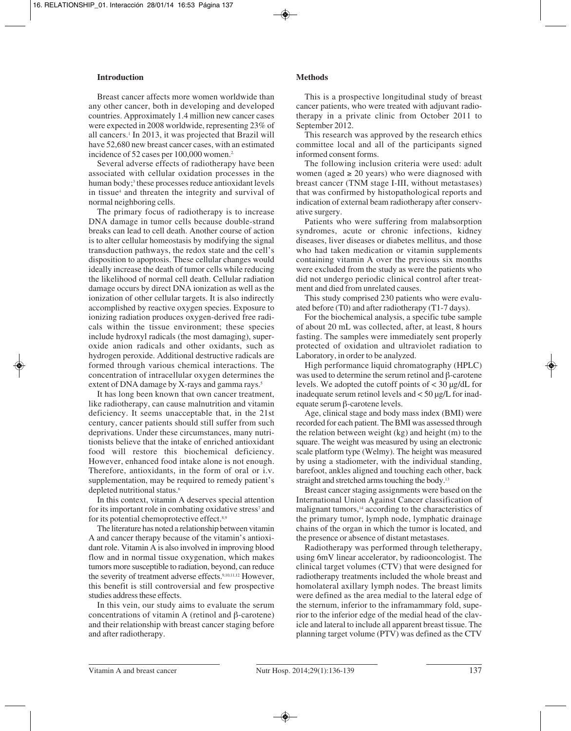## **Introduction**

Breast cancer affects more women worldwide than any other cancer, both in developing and developed countries. Approximately 1.4 million new cancer cases were expected in 2008 worldwide, representing 23% of all cancers.1 In 2013, it was projected that Brazil will have 52,680 new breast cancer cases, with an estimated incidence of 52 cases per 100,000 women.<sup>2</sup>

Several adverse effects of radiotherapy have been associated with cellular oxidation processes in the human body;<sup>3</sup> these processes reduce antioxidant levels in tissue<sup>4</sup> and threaten the integrity and survival of normal neighboring cells.

The primary focus of radiotherapy is to increase DNA damage in tumor cells because double-strand breaks can lead to cell death. Another course of action is to alter cellular homeostasis by modifying the signal transduction pathways, the redox state and the cell's disposition to apoptosis. These cellular changes would ideally increase the death of tumor cells while reducing the likelihood of normal cell death. Cellular radiation damage occurs by direct DNA ionization as well as the ionization of other cellular targets. It is also indirectly accomplished by reactive oxygen species. Exposure to ionizing radiation produces oxygen-derived free radicals within the tissue environment; these species include hydroxyl radicals (the most damaging), superoxide anion radicals and other oxidants, such as hydrogen peroxide. Additional destructive radicals are formed through various chemical interactions. The concentration of intracellular oxygen determines the extent of DNA damage by X-rays and gamma rays.<sup>5</sup>

It has long been known that own cancer treatment, like radiotherapy, can cause malnutrition and vitamin deficiency. It seems unacceptable that, in the 21st century, cancer patients should still suffer from such deprivations. Under these circumstances, many nutritionists believe that the intake of enriched antioxidant food will restore this biochemical deficiency. However, enhanced food intake alone is not enough. Therefore, antioxidants, in the form of oral or i.v. supplementation, may be required to remedy patient's depleted nutritional status.<sup>6</sup>

In this context, vitamin A deserves special attention for its important role in combating oxidative stress<sup>7</sup> and for its potential chemoprotective effect.8,9

The literature has noted a relationship between vitamin A and cancer therapy because of the vitamin's antioxidant role. Vitamin A is also involved in improving blood flow and in normal tissue oxygenation, which makes tumors more susceptible to radiation, beyond, can reduce the severity of treatment adverse effects.<sup>9,10,11,12</sup> However, this benefit is still controversial and few prospective studies address these effects.

In this vein, our study aims to evaluate the serum concentrations of vitamin A (retinol and β-carotene) and their relationship with breast cancer staging before and after radiotherapy.

# **Methods**

This is a prospective longitudinal study of breast cancer patients, who were treated with adjuvant radiotherapy in a private clinic from October 2011 to September 2012.

This research was approved by the research ethics committee local and all of the participants signed informed consent forms.

The following inclusion criteria were used: adult women (aged  $\geq$  20 years) who were diagnosed with breast cancer (TNM stage I-III, without metastases) that was confirmed by histopathological reports and indication of external beam radiotherapy after conservative surgery.

Patients who were suffering from malabsorption syndromes, acute or chronic infections, kidney diseases, liver diseases or diabetes mellitus, and those who had taken medication or vitamin supplements containing vitamin A over the previous six months were excluded from the study as were the patients who did not undergo periodic clinical control after treatment and died from unrelated causes.

This study comprised 230 patients who were evaluated before (T0) and after radiotherapy (T1-7 days).

For the biochemical analysis, a specific tube sample of about 20 mL was collected, after, at least, 8 hours fasting. The samples were immediately sent properly protected of oxidation and ultraviolet radiation to Laboratory, in order to be analyzed.

High performance liquid chromatography (HPLC) was used to determine the serum retinol and β-carotene levels. We adopted the cutoff points of < 30 µg/dL for inadequate serum retinol levels and < 50 µg/L for inadequate serum β-carotene levels.

Age, clinical stage and body mass index (BMI) were recorded for each patient. The BMI was assessed through the relation between weight (kg) and height (m) to the square. The weight was measured by using an electronic scale platform type (Welmy). The height was measured by using a stadiometer, with the individual standing, barefoot, ankles aligned and touching each other, back straight and stretched arms touching the body.13

Breast cancer staging assignments were based on the International Union Against Cancer classification of malignant tumors,<sup>14</sup> according to the characteristics of the primary tumor, lymph node, lymphatic drainage chains of the organ in which the tumor is located, and the presence or absence of distant metastases.

Radiotherapy was performed through teletherapy, using 6mV linear accelerator, by radiooncologist. The clinical target volumes (CTV) that were designed for radiotherapy treatments included the whole breast and homolateral axillary lymph nodes. The breast limits were defined as the area medial to the lateral edge of the sternum, inferior to the inframammary fold, superior to the inferior edge of the medial head of the clavicle and lateral to include all apparent breast tissue. The planning target volume (PTV) was defined as the CTV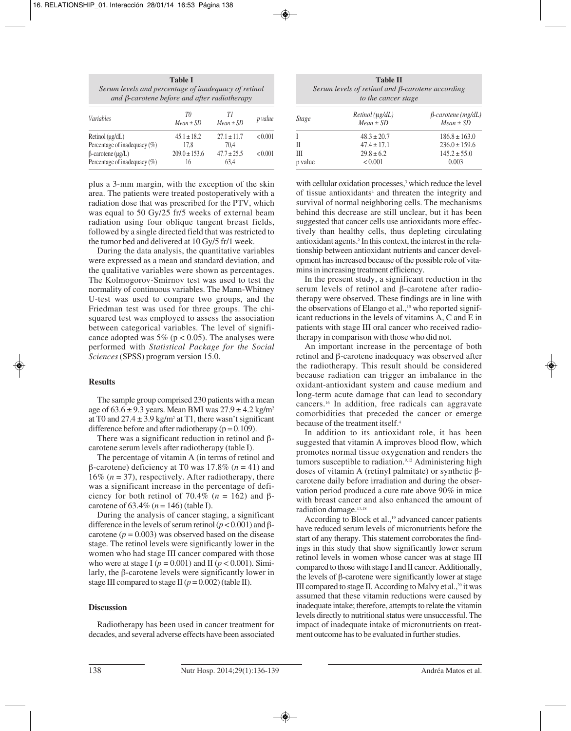| <b>Table I</b>                                       |  |
|------------------------------------------------------|--|
| Serum levels and percentage of inadequacy of retinol |  |
| and $\beta$ -carotene before and after radiotherapy  |  |
|                                                      |  |

| <i>Variables</i>                                                  | T0<br>$Mean \pm SD$     | TΙ<br>$Mean \pm SD$     | p value |
|-------------------------------------------------------------------|-------------------------|-------------------------|---------|
| Retinol $(\mu g/dL)$                                              | $45.1 \pm 18.2$         | $27.1 \pm 11.7$         | < 0.001 |
| Percentage of inadequacy $(\%)$                                   | 17.8                    | 70.4                    |         |
| $\beta$ -carotene ( $\mu$ g/L)<br>Percentage of inadequacy $(\%)$ | $209.0 \pm 153.6$<br>16 | $47.7 \pm 25.5$<br>63.4 | < 0.001 |

plus a 3-mm margin, with the exception of the skin area. The patients were treated postoperatively with a radiation dose that was prescribed for the PTV, which was equal to 50 Gy/25 fr/5 weeks of external beam radiation using four oblique tangent breast fields, followed by a single directed field that was restricted to the tumor bed and delivered at 10 Gy/5 fr/1 week.

During the data analysis, the quantitative variables were expressed as a mean and standard deviation, and the qualitative variables were shown as percentages. The Kolmogorov-Smirnov test was used to test the normality of continuous variables. The Mann-Whitney U-test was used to compare two groups, and the Friedman test was used for three groups. The chisquared test was employed to assess the association between categorical variables. The level of significance adopted was 5% ( $p < 0.05$ ). The analyses were performed with *Statistical Package for the Social Sciences* (SPSS) program version 15.0.

# **Results**

The sample group comprised 230 patients with a mean age of  $63.6 \pm 9.3$  years. Mean BMI was  $27.9 \pm 4.2$  kg/m<sup>2</sup> at T0 and  $27.4 \pm 3.9$  kg/m<sup>2</sup> at T1, there wasn't significant difference before and after radiotherapy ( $p = 0.109$ ).

There was a significant reduction in retinol and  $\beta$ carotene serum levels after radiotherapy (table I).

The percentage of vitamin A (in terms of retinol and β-carotene) deficiency at T0 was 17.8% (*n* = 41) and 16% (*n* = 37), respectively. After radiotherapy, there was a significant increase in the percentage of deficiency for both retinol of 70.4% ( $n = 162$ ) and  $\beta$ carotene of  $63.4\%$  ( $n = 146$ ) (table I).

During the analysis of cancer staging, a significant difference in the levels of serum retinol (*p* < 0.001) and βcarotene  $(p = 0.003)$  was observed based on the disease stage. The retinol levels were significantly lower in the women who had stage III cancer compared with those who were at stage I ( $p = 0.001$ ) and II ( $p < 0.001$ ). Similarly, the β-carotene levels were significantly lower in stage III compared to stage II ( $p = 0.002$ ) (table II).

## **Discussion**

Radiotherapy has been used in cancer treatment for decades, and several adverse effects have been associated

**Table II** *Serum levels of retinol and* β*-carotene according to the cancer stage*

| <i>Stage</i> | $Retinol$ ( $\mu$ g/dL)<br>$Mean \pm SD$ | $\beta$ -carotene (mg/dL)<br>$Mean \pm SD$ |
|--------------|------------------------------------------|--------------------------------------------|
|              | $48.3 \pm 20.7$                          | $186.8 \pm 163.0$                          |
| $\mathbf{I}$ | $47.4 \pm 17.1$                          | $236.0 \pm 159.6$                          |
| Ш            | $29.8 \pm 6.2$                           | $145.2 \pm 55.0$                           |
| p value      | < 0.001                                  | 0.003                                      |

with cellular oxidation processes,<sup>3</sup> which reduce the level of tissue antioxidants<sup>4</sup> and threaten the integrity and survival of normal neighboring cells. The mechanisms behind this decrease are still unclear, but it has been suggested that cancer cells use antioxidants more effectively than healthy cells, thus depleting circulating antioxidant agents.<sup>5</sup> In this context, the interest in the relationship between antioxidant nutrients and cancer development has increased because of the possible role of vitamins in increasing treatment efficiency.

In the present study, a significant reduction in the serum levels of retinol and β-carotene after radiotherapy were observed. These findings are in line with the observations of Elango et al.,<sup>15</sup> who reported significant reductions in the levels of vitamins A, C and E in patients with stage III oral cancer who received radiotherapy in comparison with those who did not.

An important increase in the percentage of both retinol and β-carotene inadequacy was observed after the radiotherapy. This result should be considered because radiation can trigger an imbalance in the oxidant-antioxidant system and cause medium and long-term acute damage that can lead to secondary cancers.16 In addition, free radicals can aggravate comorbidities that preceded the cancer or emerge because of the treatment itself.4

In addition to its antioxidant role, it has been suggested that vitamin A improves blood flow, which promotes normal tissue oxygenation and renders the tumors susceptible to radiation.<sup>9,12</sup> Administering high doses of vitamin A (retinyl palmitate) or synthetic βcarotene daily before irradiation and during the observation period produced a cure rate above 90% in mice with breast cancer and also enhanced the amount of radiation damage.17,18

According to Block et al.,<sup>19</sup> advanced cancer patients have reduced serum levels of micronutrients before the start of any therapy. This statement corroborates the findings in this study that show significantly lower serum retinol levels in women whose cancer was at stage III compared to those with stage I and II cancer. Additionally, the levels of β-carotene were significantly lower at stage III compared to stage II. According to Malvy et al., $20$  it was assumed that these vitamin reductions were caused by inadequate intake; therefore, attempts to relate the vitamin levels directly to nutritional status were unsuccessful. The impact of inadequate intake of micronutrients on treatment outcome has to be evaluated in further studies.